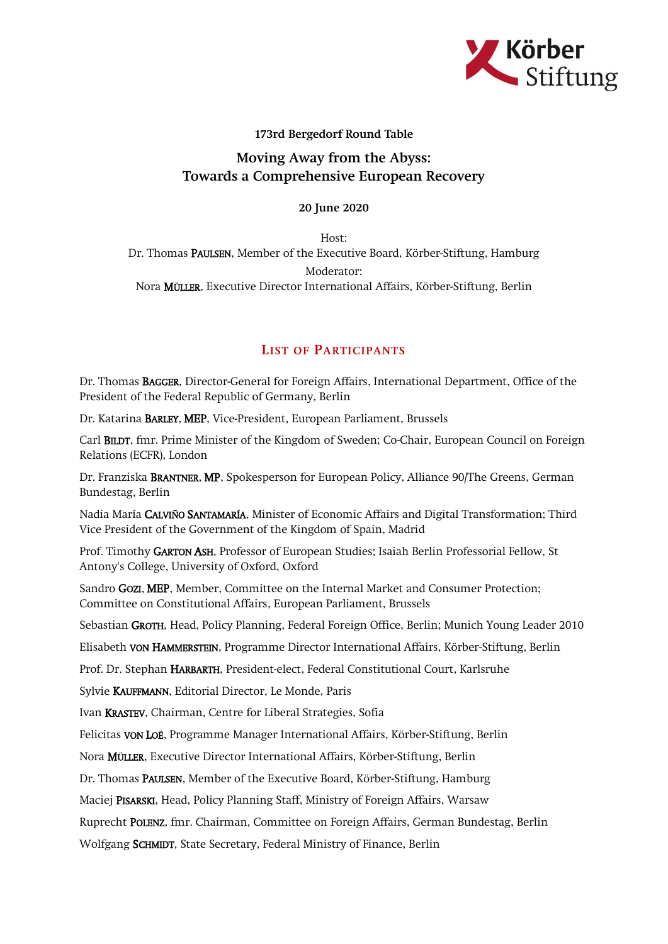

## 173rd Bergedorf Round Table

## Moving Away from the Abyss: Towards a Comprehensive European Recovery

## 20 June 2020

Host: Dr. Thomas PAULSEN, Member of the Executive Board, Körber-Stiftung, Hamburg Moderator: Nora MÜLLER, Executive Director International Affairs, Körber-Stiftung, Berlin

## LIST OF PARTICIPANTS

Dr. Thomas BAGGER, Director-General for Foreign Affairs, International Department, Office of the President of the Federal Republic of Germany, Berlin

Dr. Katarina BARLEY, MEP, Vice-President, European Parliament, Brussels

Carl BILDT, fmr. Prime Minister of the Kingdom of Sweden; Co-Chair, European Council on Foreign Relations (ECFR), London

Dr. Franziska BRANTNER, MP, Spokesperson for European Policy, Alliance 90/The Greens, German Bundestag, Berlin

Nadia María CALVIÑO SANTAMARÍA, Minister of Economic Affairs and Digital Transformation; Third Vice President of the Government of the Kingdom of Spain, Madrid

Prof. Timothy GARTON ASH, Professor of European Studies; Isaiah Berlin Professorial Fellow, St Antony's College, University of Oxford, Oxford

Sandro GOZI, MEP, Member, Committee on the Internal Market and Consumer Protection; Committee on Constitutional Affairs, European Parliament, Brussels

Sebastian GROTH, Head, Policy Planning, Federal Foreign Office, Berlin; Munich Young Leader 2010

Elisabeth VON HAMMERSTEIN, Programme Director International Affairs, Körber-Stiftung, Berlin

Prof. Dr. Stephan HARBARTH, President-elect, Federal Constitutional Court, Karlsruhe

Sylvie KAUFFMANN, Editorial Director, Le Monde, Paris

Ivan KRASTEV, Chairman, Centre for Liberal Strategies, Sofia

Felicitas VON LOË, Programme Manager International Affairs, Körber-Stiftung, Berlin

Nora MÜLLER, Executive Director International Affairs, Körber-Stiftung, Berlin

Dr. Thomas PAULSEN, Member of the Executive Board, Körber-Stiftung, Hamburg

Maciej PISARSKI, Head, Policy Planning Staff, Ministry of Foreign Affairs, Warsaw

Ruprecht POLENZ, fmr. Chairman, Committee on Foreign Affairs, German Bundestag, Berlin

Wolfgang SCHMIDT, State Secretary, Federal Ministry of Finance, Berlin